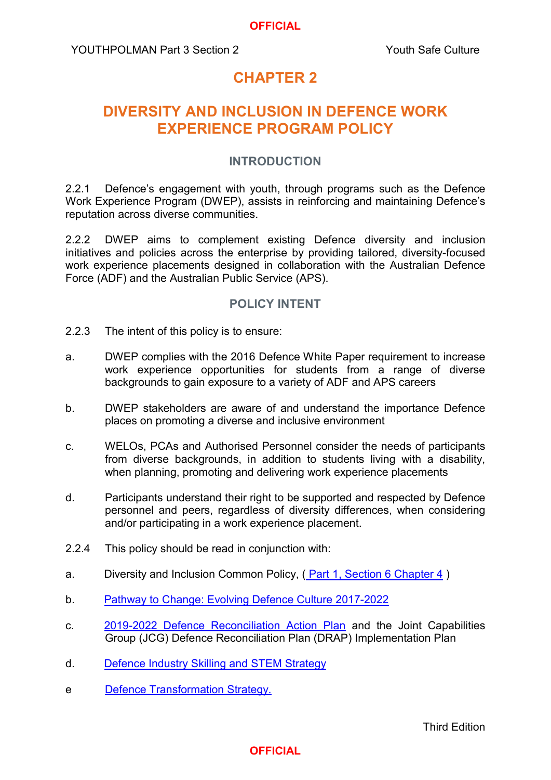#### **OFFICIAL**

YOUTHPOLMAN Part 3 Section 2 The Section 2 Touth Safe Culture

# **CHAPTER 2**

# **DIVERSITY AND INCLUSION IN DEFENCE WORK EXPERIENCE PROGRAM POLICY**

#### **INTRODUCTION**

2.2.1 Defence's engagement with youth, through programs such as the Defence Work Experience Program (DWEP), assists in reinforcing and maintaining Defence's reputation across diverse communities.

2.2.2 DWEP aims to complement existing Defence diversity and inclusion initiatives and policies across the enterprise by providing tailored, diversity-focused work experience placements designed in collaboration with the Australian Defence Force (ADF) and the Australian Public Service (APS).

### **POLICY INTENT**

- 2.2.3 The intent of this policy is to ensure:
- a. DWEP complies with the 2016 Defence White Paper requirement to increase work experience opportunities for students from a range of diverse backgrounds to gain exposure to a variety of ADF and APS careers
- b. DWEP stakeholders are aware of and understand the importance Defence places on promoting a diverse and inclusive environment
- c. WELOs, PCAs and Authorised Personnel consider the needs of participants from diverse backgrounds, in addition to students living with a disability, when planning, promoting and delivering work experience placements
- d. Participants understand their right to be supported and respected by Defence personnel and peers, regardless of diversity differences, when considering and/or participating in a work experience placement.
- 2.2.4 This policy should be read in conjunction with:
- a. Diversity and Inclusion Common Policy, ( [Part 1, Section 6 Chapter 4](https://www.defenceyouth.gov.au/media/1565/commonpol4-diversity-and-inclusion-bn16234132.pdf) )
- b. [Pathway to Change: Evolving Defence Culture 2017-2022](https://www.defence.gov.au/pathwaytochange/_Master/Docs/120410-Pathway-to-Change-Evolving-Defence-Culture-web-version.pdf)
- c. [2019-2022 Defence Reconciliation Action Plan](https://www.defence.gov.au/jobs-careers/indigenous/defence-reconciliation-action-plan) and the Joint Capabilities Group (JCG) Defence Reconciliation Plan (DRAP) Implementation Plan
- d. [Defence Industry Skilling and STEM Strategy](https://www.defence.gov.au/SPI/Industry/IndustrySkillingSupport.asp)
- e [Defence Transformation Strategy.](http://drnet/AssociateSecretary/One_Defence/Pages/Defence-Transformation-Strategy.aspx)

### **OFFICIAL**